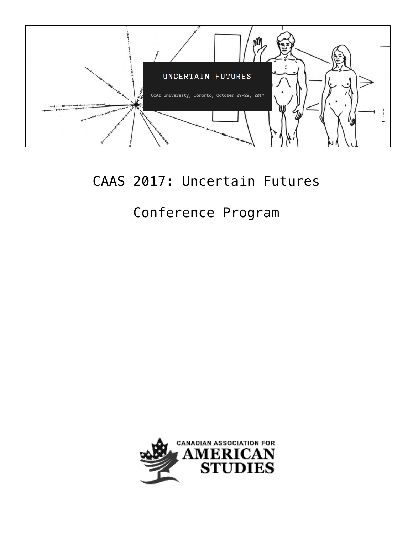

## CAAS 2017: Uncertain Futures

# Conference Program

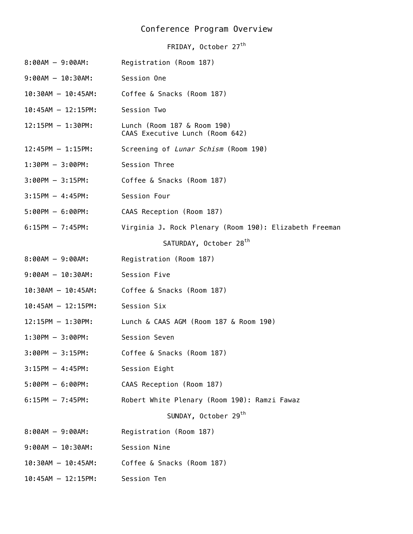### Conference Program Overview

FRIDAY, October 27<sup>th</sup>

| $8:00AM - 9:00AM$ :      | Registration (Room 187)                                        |
|--------------------------|----------------------------------------------------------------|
| $9:00AM - 10:30AM:$      | Session One                                                    |
| $10:30AM - 10:45AM$ :    | Coffee & Snacks (Room 187)                                     |
| $10:45AM - 12:15PM:$     | Session Two                                                    |
| $12:15PM - 1:30PM:$      | Lunch (Room 187 & Room 190)<br>CAAS Executive Lunch (Room 642) |
| $12:45PM - 1:15PM:$      | Screening of Lunar Schism (Room 190)                           |
| $1:30PM - 3:00PM$ :      | Session Three                                                  |
| $3:00PM - 3:15PM:$       | Coffee & Snacks (Room 187)                                     |
| $3:15PM - 4:45PM:$       | Session Four                                                   |
| $5:00PM - 6:00PM:$       | CAAS Reception (Room 187)                                      |
| $6:15PM - 7:45PM:$       | Virginia J. Rock Plenary (Room 190): Elizabeth Freeman         |
|                          | SATURDAY, October 28 <sup>th</sup>                             |
| $8:00AM - 9:00AM$ :      | Registration (Room 187)                                        |
| $9:00AM - 10:30AM:$      | Session Five                                                   |
| $10:30$ AM $- 10:45$ AM: | Coffee & Snacks (Room 187)                                     |
| $10:45AM - 12:15PM:$     | Session Six                                                    |
| $12:15PM - 1:30PM:$      | Lunch & CAAS AGM (Room 187 & Room 190)                         |
| $1:30PM - 3:00PM$ :      | Session Seven                                                  |
| $3:00PM - 3:15PM:$       | Coffee & Snacks (Room 187)                                     |
| $3:15PM - 4:45PM:$       | Session Eight                                                  |
| $5:00PM - 6:00PM:$       | CAAS Reception (Room 187)                                      |
| $6:15PM - 7:45PM:$       | Robert White Plenary (Room 190): Ramzi Fawaz                   |
|                          | SUNDAY, October 29 <sup>th</sup>                               |
| $8:00AM - 9:00AM$ :      | Registration (Room 187)                                        |
| $9:00AM - 10:30AM:$      | Session Nine                                                   |
| $10:30AM - 10:45AM$ :    | Coffee & Snacks (Room 187)                                     |
| $10:45AM - 12:15PM:$     | Session Ten                                                    |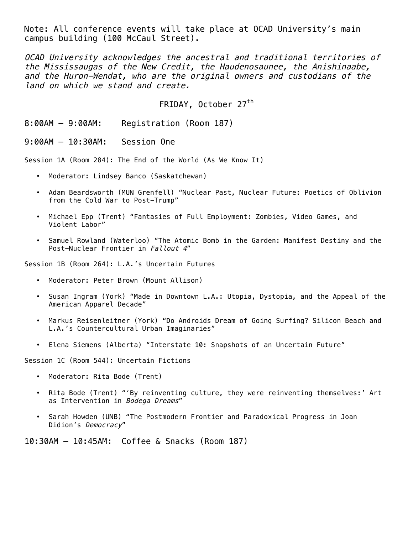Note: All conference events will take place at OCAD University's main campus building (100 McCaul Street).

OCAD University acknowledges the ancestral and traditional territories of the Mississaugas of the New Credit, the Haudenosaunee, the Anishinaabe, and the Huron-Wendat, who are the original owners and custodians of the land on which we stand and create.

FRIDAY, October 27<sup>th</sup>

8:00AM – 9:00AM: Registration (Room 187)

9:00AM – 10:30AM: Session One

Session 1A (Room 284): The End of the World (As We Know It)

- Moderator: Lindsey Banco (Saskatchewan)
- Adam Beardsworth (MUN Grenfell) "Nuclear Past, Nuclear Future: Poetics of Oblivion from the Cold War to Post-Trump"
- Michael Epp (Trent) "Fantasies of Full Employment: Zombies, Video Games, and Violent Labor"
- Samuel Rowland (Waterloo) "The Atomic Bomb in the Garden: Manifest Destiny and the Post-Nuclear Frontier in Fallout 4"

Session 1B (Room 264): L.A.'s Uncertain Futures

- Moderator: Peter Brown (Mount Allison)
- Susan Ingram (York) "Made in Downtown L.A.: Utopia, Dystopia, and the Appeal of the American Apparel Decade"
- Markus Reisenleitner (York) "Do Androids Dream of Going Surfing? Silicon Beach and L.A.'s Countercultural Urban Imaginaries"
- Elena Siemens (Alberta) "Interstate 10: Snapshots of an Uncertain Future"

Session 1C (Room 544): Uncertain Fictions

- Moderator: Rita Bode (Trent)
- Rita Bode (Trent) "'By reinventing culture, they were reinventing themselves:' Art as Intervention in Bodega Dreams"
- Sarah Howden (UNB) "The Postmodern Frontier and Paradoxical Progress in Joan Didion's Democracy"

10:30AM – 10:45AM: Coffee & Snacks (Room 187)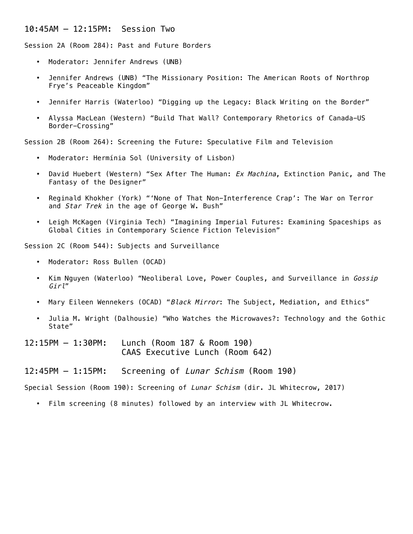#### 10:45AM – 12:15PM: Session Two

Session 2A (Room 284): Past and Future Borders

- Moderator: Jennifer Andrews (UNB)
- Jennifer Andrews (UNB) "The Missionary Position: The American Roots of Northrop Frye's Peaceable Kingdom"
- Jennifer Harris (Waterloo) "Digging up the Legacy: Black Writing on the Border"
- Alyssa MacLean (Western) "Build That Wall? Contemporary Rhetorics of Canada-US Border-Crossing"

Session 2B (Room 264): Screening the Future: Speculative Film and Television

- Moderator: Hermínia Sol (University of Lisbon)
- David Huebert (Western) "Sex After The Human: Ex Machina, Extinction Panic, and The Fantasy of the Designer"
- Reginald Khokher (York) "'None of That Non-Interference Crap': The War on Terror and Star Trek in the age of George W. Bush"
- Leigh McKagen (Virginia Tech) "Imagining Imperial Futures: Examining Spaceships as Global Cities in Contemporary Science Fiction Television"

Session 2C (Room 544): Subjects and Surveillance

- Moderator: Ross Bullen (OCAD)
- Kim Nguyen (Waterloo) "Neoliberal Love, Power Couples, and Surveillance in Gossip Girl"
- Mary Eileen Wennekers (OCAD) "Black Mirror: The Subject, Mediation, and Ethics"
- Julia M. Wright (Dalhousie) "Who Watches the Microwaves?: Technology and the Gothic State"
- 12:15PM 1:30PM: Lunch (Room 187 & Room 190) CAAS Executive Lunch (Room 642)
- 12:45PM 1:15PM: Screening of Lunar Schism (Room 190)

Special Session (Room 190): Screening of Lunar Schism (dir. JL Whitecrow, 2017)

• Film screening (8 minutes) followed by an interview with JL Whitecrow.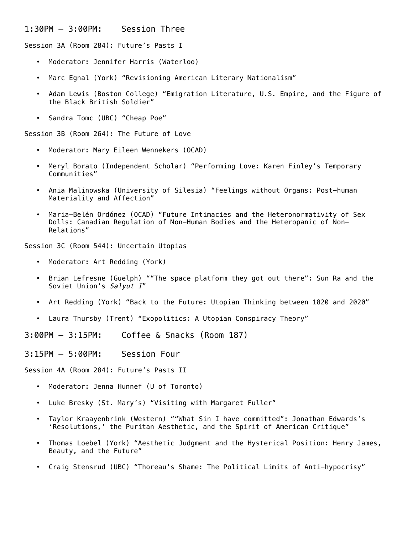#### 1:30PM – 3:00PM: Session Three

Session 3A (Room 284): Future's Pasts I

- Moderator: Jennifer Harris (Waterloo)
- Marc Egnal (York) "Revisioning American Literary Nationalism"
- Adam Lewis (Boston College) "Emigration Literature, U.S. Empire, and the Figure of the Black British Soldier"
- Sandra Tomc (UBC) "Cheap Poe"

Session 3B (Room 264): The Future of Love

- Moderator: Mary Eileen Wennekers (OCAD)
- Meryl Borato (Independent Scholar) "Performing Love: Karen Finley's Temporary Communities"
- Ania Malinowska (University of Silesia) "Feelings without Organs: Post-human Materiality and Affection"
- Maria-Belén Ordónez (OCAD) "Future Intimacies and the Heteronormativity of Sex Dolls: Canadian Regulation of Non-Human Bodies and the Heteropanic of Non-Relations"

Session 3C (Room 544): Uncertain Utopias

- Moderator: Art Redding (York)
- Brian Lefresne (Guelph) ""The space platform they got out there": Sun Ra and the Soviet Union's Salyut I"
- Art Redding (York) "Back to the Future: Utopian Thinking between 1820 and 2020"
- Laura Thursby (Trent) "Exopolitics: A Utopian Conspiracy Theory"

3:00PM – 3:15PM: Coffee & Snacks (Room 187)

3:15PM – 5:00PM: Session Four

Session 4A (Room 284): Future's Pasts II

- Moderator: Jenna Hunnef (U of Toronto)
- Luke Bresky (St. Mary's) "Visiting with Margaret Fuller"
- Taylor Kraayenbrink (Western) ""What Sin I have committed": Jonathan Edwards's 'Resolutions,' the Puritan Aesthetic, and the Spirit of American Critique"
- Thomas Loebel (York) "Aesthetic Judgment and the Hysterical Position: Henry James, Beauty, and the Future"
- Craig Stensrud (UBC) "Thoreau's Shame: The Political Limits of Anti-hypocrisy"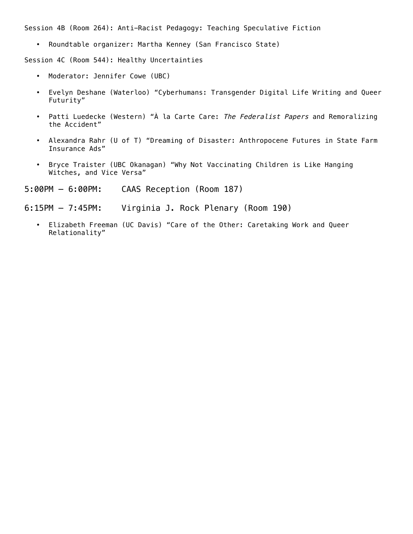Session 4B (Room 264): Anti-Racist Pedagogy: Teaching Speculative Fiction

• Roundtable organizer: Martha Kenney (San Francisco State)

Session 4C (Room 544): Healthy Uncertainties

- Moderator: Jennifer Cowe (UBC)
- Evelyn Deshane (Waterloo) "Cyberhumans: Transgender Digital Life Writing and Queer Futurity"
- Patti Luedecke (Western) "À la Carte Care: The Federalist Papers and Remoralizing the Accident"
- Alexandra Rahr (U of T) "Dreaming of Disaster: Anthropocene Futures in State Farm Insurance Ads"
- Bryce Traister (UBC Okanagan) "Why Not Vaccinating Children is Like Hanging Witches, and Vice Versa"
- 5:00PM 6:00PM: CAAS Reception (Room 187)
- 6:15PM 7:45PM: Virginia J. Rock Plenary (Room 190)
	- Elizabeth Freeman (UC Davis) "Care of the Other: Caretaking Work and Queer Relationality"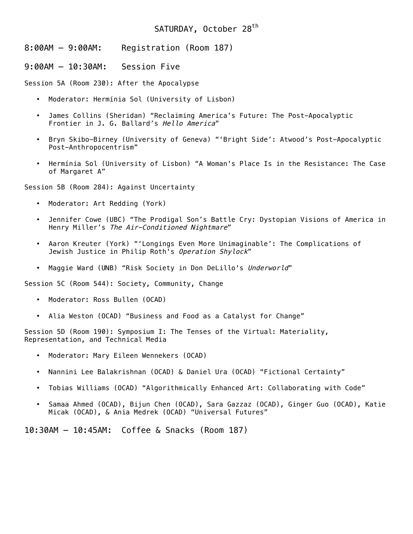### SATURDAY, October 28<sup>th</sup>

8:00AM – 9:00AM: Registration (Room 187)

9:00AM – 10:30AM: Session Five

Session 5A (Room 230): After the Apocalypse

- Moderator: Hermínia Sol (University of Lisbon)
- James Collins (Sheridan) "Reclaiming America's Future: The Post-Apocalyptic Frontier in J. G. Ballard's Hello America"
- Bryn Skibo-Birney (University of Geneva) "'Bright Side': Atwood's Post-Apocalyptic Post-Anthropocentrism"
- Hermínia Sol (University of Lisbon) "A Woman's Place Is in the Resistance: The Case of Margaret A"

Session 5B (Room 284): Against Uncertainty

- Moderator: Art Redding (York)
- Jennifer Cowe (UBC) "The Prodigal Son's Battle Cry: Dystopian Visions of America in Henry Miller's The Air-Conditioned Nightmare"
- Aaron Kreuter (York) "'Longings Even More Unimaginable': The Complications of Jewish Justice in Philip Roth's Operation Shylock"
- Maggie Ward (UNB) "Risk Society in Don DeLillo's Underworld"

Session 5C (Room 544): Society, Community, Change

- Moderator: Ross Bullen (OCAD)
- Alia Weston (OCAD) "Business and Food as a Catalyst for Change"

Session 5D (Room 190): Symposium I: The Tenses of the Virtual: Materiality, Representation, and Technical Media

- Moderator: Mary Eileen Wennekers (OCAD)
- Nannini Lee Balakrishnan (OCAD) & Daniel Ura (OCAD) "Fictional Certainty"
- Tobias Williams (OCAD) "Algorithmically Enhanced Art: Collaborating with Code"
- Samaa Ahmed (OCAD), Bijun Chen (OCAD), Sara Gazzaz (OCAD), Ginger Guo (OCAD), Katie Micak (OCAD), & Ania Medrek (OCAD) "Universal Futures"

10:30AM – 10:45AM: Coffee & Snacks (Room 187)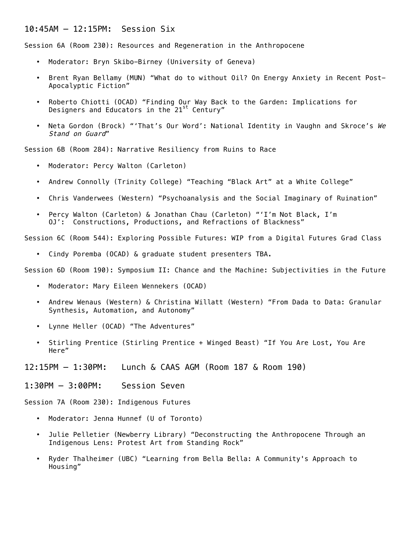#### 10:45AM – 12:15PM: Session Six

Session 6A (Room 230): Resources and Regeneration in the Anthropocene

- Moderator: Bryn Skibo-Birney (University of Geneva)
- Brent Ryan Bellamy (MUN) "What do to without Oil? On Energy Anxiety in Recent Post-Apocalyptic Fiction"
- Roberto Chiotti (OCAD) "Finding Our Way Back to the Garden: Implications for Designers and Educators in the 21<sup>st</sup> Century"
- Neta Gordon (Brock) "'That's Our Word': National Identity in Vaughn and Skroce's We Stand on Guard"

Session 6B (Room 284): Narrative Resiliency from Ruins to Race

- Moderator: Percy Walton (Carleton)
- Andrew Connolly (Trinity College) "Teaching "Black Art" at a White College"
- Chris Vanderwees (Western) "Psychoanalysis and the Social Imaginary of Ruination"
- Percy Walton (Carleton) & Jonathan Chau (Carleton) "'I'm Not Black, I'm 0J': Constructions, Productions, and Refractions of Blackness"

Session 6C (Room 544): Exploring Possible Futures: WIP from a Digital Futures Grad Class

• Cindy Poremba (OCAD) & graduate student presenters TBA.

Session 6D (Room 190): Symposium II: Chance and the Machine: Subjectivities in the Future

- Moderator: Mary Eileen Wennekers (OCAD)
- Andrew Wenaus (Western) & Christina Willatt (Western) "From Dada to Data: Granular Synthesis, Automation, and Autonomy"
- Lynne Heller (OCAD) "The Adventures"
- Stirling Prentice (Stirling Prentice + Winged Beast) "If You Are Lost, You Are Here"

12:15PM – 1:30PM: Lunch & CAAS AGM (Room 187 & Room 190)

1:30PM – 3:00PM: Session Seven

Session 7A (Room 230): Indigenous Futures

- Moderator: Jenna Hunnef (U of Toronto)
- Julie Pelletier (Newberry Library) "Deconstructing the Anthropocene Through an Indigenous Lens: Protest Art from Standing Rock"
- Ryder Thalheimer (UBC) "Learning from Bella Bella: A Community's Approach to Housing"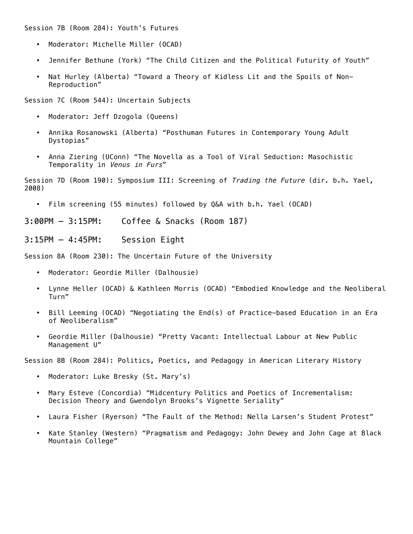Session 7B (Room 284): Youth's Futures

- Moderator: Michelle Miller (OCAD)
- Jennifer Bethune (York) "The Child Citizen and the Political Futurity of Youth"
- Nat Hurley (Alberta) "Toward a Theory of Kidless Lit and the Spoils of Non-Reproduction"

Session 7C (Room 544): Uncertain Subjects

- Moderator: Jeff Dzogola (Queens)
- Annika Rosanowski (Alberta) "Posthuman Futures in Contemporary Young Adult Dystopias"
- Anna Ziering (UConn) "The Novella as a Tool of Viral Seduction: Masochistic Temporality in Venus in Furs"

Session 7D (Room 190): Symposium III: Screening of Trading the Future (dir. b.h. Yael, 2008)

• Film screening (55 minutes) followed by Q&A with b.h. Yael (OCAD)

3:00PM – 3:15PM: Coffee & Snacks (Room 187)

3:15PM – 4:45PM: Session Eight

Session 8A (Room 230): The Uncertain Future of the University

- Moderator: Geordie Miller (Dalhousie)
- Lynne Heller (OCAD) & Kathleen Morris (OCAD) "Embodied Knowledge and the Neoliberal Turn"
- Bill Leeming (OCAD) "Negotiating the End(s) of Practice-based Education in an Era of Neoliberalism"
- Geordie Miller (Dalhousie) "Pretty Vacant: Intellectual Labour at New Public Management U"

Session 8B (Room 284): Politics, Poetics, and Pedagogy in American Literary History

- Moderator: Luke Bresky (St. Mary's)
- Mary Esteve (Concordia) "Midcentury Politics and Poetics of Incrementalism: Decision Theory and Gwendolyn Brooks's Vignette Seriality"
- Laura Fisher (Ryerson) "The Fault of the Method: Nella Larsen's Student Protest"
- Kate Stanley (Western) "Pragmatism and Pedagogy: John Dewey and John Cage at Black Mountain College"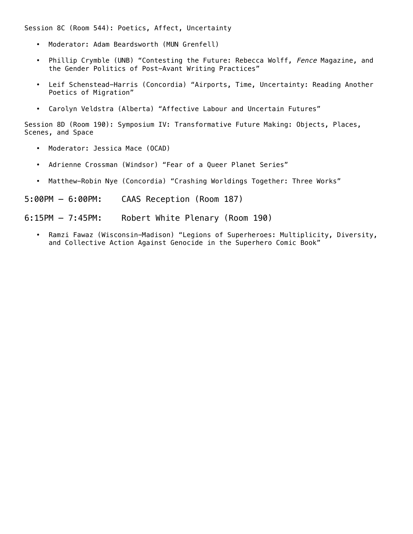Session 8C (Room 544): Poetics, Affect, Uncertainty

- Moderator: Adam Beardsworth (MUN Grenfell)
- Phillip Crymble (UNB) "Contesting the Future: Rebecca Wolff, Fence Magazine, and the Gender Politics of Post-Avant Writing Practices"
- Leif Schenstead-Harris (Concordia) "Airports, Time, Uncertainty: Reading Another Poetics of Migration"
- Carolyn Veldstra (Alberta) "Affective Labour and Uncertain Futures"

Session 8D (Room 190): Symposium IV: Transformative Future Making: Objects, Places, Scenes, and Space

- Moderator: Jessica Mace (OCAD)
- Adrienne Crossman (Windsor) "Fear of a Queer Planet Series"
- Matthew-Robin Nye (Concordia) "Crashing Worldings Together: Three Works"

5:00PM – 6:00PM: CAAS Reception (Room 187)

6:15PM – 7:45PM: Robert White Plenary (Room 190)

• Ramzi Fawaz (Wisconsin-Madison) "Legions of Superheroes: Multiplicity, Diversity, and Collective Action Against Genocide in the Superhero Comic Book"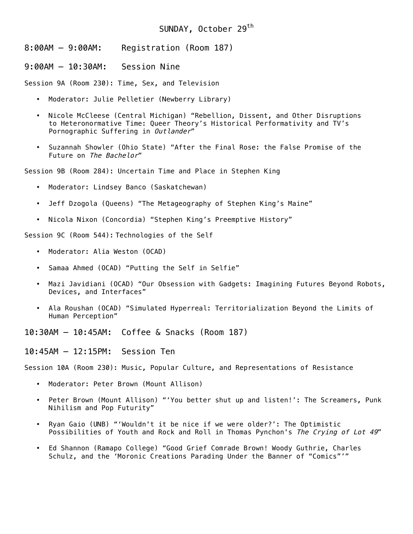#### SUNDAY, October 29<sup>th</sup>

8:00AM – 9:00AM: Registration (Room 187)

9:00AM – 10:30AM: Session Nine

Session 9A (Room 230): Time, Sex, and Television

- Moderator: Julie Pelletier (Newberry Library)
- Nicole McCleese (Central Michigan) "Rebellion, Dissent, and Other Disruptions to Heteronormative Time: Queer Theory's Historical Performativity and TV's Pornographic Suffering in Outlander"
- Suzannah Showler (Ohio State) "After the Final Rose: the False Promise of the Future on The Bachelor"

Session 9B (Room 284): Uncertain Time and Place in Stephen King

- Moderator: Lindsey Banco (Saskatchewan)
- Jeff Dzogola (Queens) "The Metageography of Stephen King's Maine"
- Nicola Nixon (Concordia) "Stephen King's Preemptive History"

Session 9C (Room 544): Technologies of the Self

- Moderator: Alia Weston (OCAD)
- Samaa Ahmed (OCAD) "Putting the Self in Selfie"
- Mazi Javidiani (OCAD) "Our Obsession with Gadgets: Imagining Futures Beyond Robots, Devices, and Interfaces"
- Ala Roushan (OCAD) "Simulated Hyperreal: Territorialization Beyond the Limits of Human Perception"

10:30AM – 10:45AM: Coffee & Snacks (Room 187)

10:45AM – 12:15PM: Session Ten

Session 10A (Room 230): Music, Popular Culture, and Representations of Resistance

- Moderator: Peter Brown (Mount Allison)
- Peter Brown (Mount Allison) "'You better shut up and listen!': The Screamers, Punk Nihilism and Pop Futurity"
- Ryan Gaio (UNB) "'Wouldn't it be nice if we were older?': The Optimistic Possibilities of Youth and Rock and Roll in Thomas Pynchon's The Crying of Lot 49"
- Ed Shannon (Ramapo College) "Good Grief Comrade Brown! Woody Guthrie, Charles Schulz, and the 'Moronic Creations Parading Under the Banner of "Comics"'"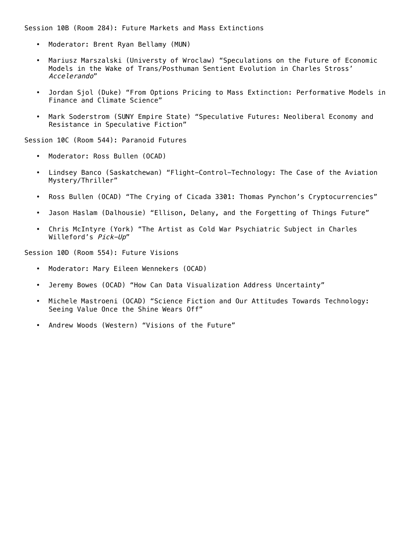Session 10B (Room 284): Future Markets and Mass Extinctions

- Moderator: Brent Ryan Bellamy (MUN)
- Mariusz Marszalski (Universty of Wroclaw) "Speculations on the Future of Economic Models in the Wake of Trans/Posthuman Sentient Evolution in Charles Stross' Accelerando"
- Jordan Sjol (Duke) "From Options Pricing to Mass Extinction: Performative Models in Finance and Climate Science"
- Mark Soderstrom (SUNY Empire State) "Speculative Futures: Neoliberal Economy and Resistance in Speculative Fiction"

Session 10C (Room 544): Paranoid Futures

- Moderator: Ross Bullen (OCAD)
- Lindsey Banco (Saskatchewan) "Flight-Control-Technology: The Case of the Aviation Mystery/Thriller"
- Ross Bullen (OCAD) "The Crying of Cicada 3301: Thomas Pynchon's Cryptocurrencies"
- Jason Haslam (Dalhousie) "Ellison, Delany, and the Forgetting of Things Future"
- Chris McIntyre (York) "The Artist as Cold War Psychiatric Subject in Charles Willeford's Pick-Up"

Session 10D (Room 554): Future Visions

- Moderator: Mary Eileen Wennekers (OCAD)
- Jeremy Bowes (OCAD) "How Can Data Visualization Address Uncertainty"
- Michele Mastroeni (OCAD) "Science Fiction and Our Attitudes Towards Technology: Seeing Value Once the Shine Wears Off"
- Andrew Woods (Western) "Visions of the Future"